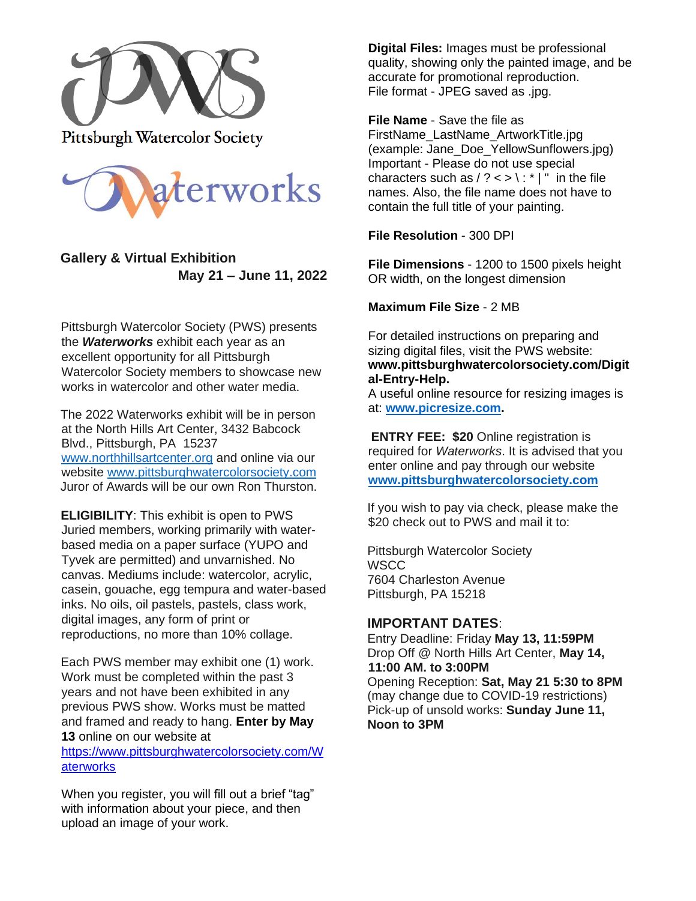

**Pittsburgh Watercolor Society** 



## **Gallery & Virtual Exhibition May 21 – June 11, 2022**

Pittsburgh Watercolor Society (PWS) presents the *Waterworks* exhibit each year as an excellent opportunity for all Pittsburgh Watercolor Society members to showcase new works in watercolor and other water media.

The 2022 Waterworks exhibit will be in person at the North Hills Art Center, 3432 Babcock Blvd., Pittsburgh, PA 15237 [www.northhillsartcenter.org](http://www.northhillsartcenter.org/) and online via our website [www.pittsburghwatercolorsociety.com](http://www.pittsburghwatercolorsociety.com/) Juror of Awards will be our own Ron Thurston.

**ELIGIBILITY**: This exhibit is open to PWS Juried members, working primarily with waterbased media on a paper surface (YUPO and Tyvek are permitted) and unvarnished. No canvas. Mediums include: watercolor, acrylic, casein, gouache, egg tempura and water-based inks. No oils, oil pastels, pastels, class work, digital images, any form of print or reproductions, no more than 10% collage.

Each PWS member may exhibit one (1) work. Work must be completed within the past 3 years and not have been exhibited in any previous PWS show. Works must be matted and framed and ready to hang. **Enter by May 13** online on our website at

https://www.pittsburghwatercolorsociety.com/W aterworks

When you register, you will fill out a brief "tag" with information about your piece, and then upload an image of your work.

**Digital Files:** Images must be professional quality, showing only the painted image, and be accurate for promotional reproduction. File format - JPEG saved as .jpg.

**File Name** - Save the file as FirstName\_LastName\_ArtworkTitle.jpg (example: Jane\_Doe\_YellowSunflowers.jpg) Important - Please do not use special characters such as  $/ ? < > \$  : \* | " in the file names. Also, the file name does not have to contain the full title of your painting.

**File Resolution** - 300 DPI

**File Dimensions** - 1200 to 1500 pixels height OR width, on the longest dimension

**Maximum File Size** - 2 MB

For detailed instructions on preparing and sizing digital files, visit the PWS website: **www.pittsburghwatercolorsociety.com/Digit al-Entry-Help.**

A useful online resource for resizing images is at: **[www.picresize.com.](http://www.picresize.com/)**

**ENTRY FEE: \$20** Online registration is required for *Waterworks*. It is advised that you enter online and pay through our website **[www.pittsburghwatercolorsociety.com](http://www.pittsburghwatercolorsociety.com/)**

If you wish to pay via check, please make the \$20 check out to PWS and mail it to:

Pittsburgh Watercolor Society **WSCC** 7604 Charleston Avenue Pittsburgh, PA 15218

## **IMPORTANT DATES**:

Entry Deadline: Friday **May 13, 11:59PM** Drop Off @ North Hills Art Center, **May 14, 11:00 AM. to 3:00PM** Opening Reception: **Sat, May 21 5:30 to 8PM** (may change due to COVID-19 restrictions) Pick-up of unsold works: **Sunday June 11, Noon to 3PM**